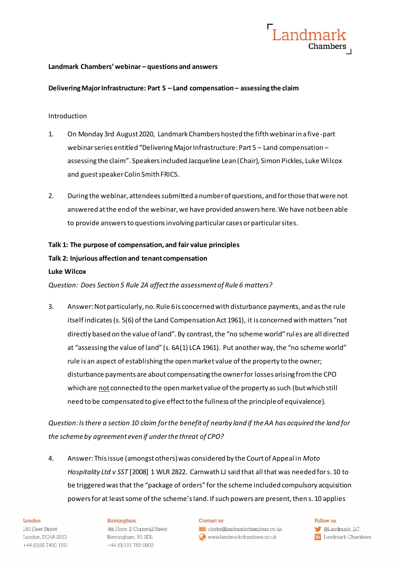

## **Landmark Chambers'webinar – questions and answers**

## **Delivering Major Infrastructure: Part 5 – Land compensation – assessing the claim**

## Introduction

- 1. On Monday 3rd August 2020, Landmark Chambers hosted the fifth webinar in a five-part webinarseries entitled "Delivering Major Infrastructure: Part 5 – Land compensation – assessing the claim". Speakers included Jacqueline Lean (Chair), Simon Pickles, Luke Wilcox and guest speaker Colin Smith FRICS.
- 2. During the webinar, attendees submitted a number of questions, and for those that were not answered at the end of the webinar, we have provided answers here. We have not been able to provide answers to questions involving particular cases or particular sites.

## **Talk 1: The purpose of compensation, and fair value principles**

## **Talk 2: Injurious affection and tenant compensation**

## **Luke Wilcox**

*Question: Does Section 5 Rule 2A affect the assessment of Rule 6 matters?*

3. Answer:Not particularly, no. Rule 6 is concerned with disturbance payments, and as the rule itself indicates (s. 5(6) of the Land Compensation Act 1961), it is concerned with matters "not directly based on the value of land". By contrast, the "no scheme world" rul es are all directed at "assessing the value of land" (s. 6A(1) LCA 1961). Put another way, the "no scheme world" rule is an aspect of establishing the open market value of the property to the owner; disturbance payments are about compensating the owner for losses arising from the CPO which are not connected to the open market value of the property as such (but which still need to be compensated to give effect to the fullness of the principle of equivalence).

*Question: Is there a section 10 claim for the benefit of nearby land if the AA has acquired the land for the scheme by agreement even if under the threat of CPO?*

4. Answer: This issue (amongst others) was considered by the Court of Appeal in *Moto Hospitality Ltd v SST* [2008] 1 WLR 2822. Carnwath LJ said that all that was needed for s. 10 to be triggered was that the "package of orders" for the scheme included compulsory acquisition powers for at least some of the scheme's land. If such powers are present, then s. 10 applies

#### London

180 Fleet Street London, EC4A 2HG +44 (0)20 7430 1221

#### Birmingham

4th Floor, 2 Cornwall Street Birmingham, B3 2DL +44 (0)121 752 0800

#### Contact us

clerks@landmarkchambers.co.uk www.landmarkchambers.co.uk

Follow us **C**Landmark\_LC **in** Landmark Chambers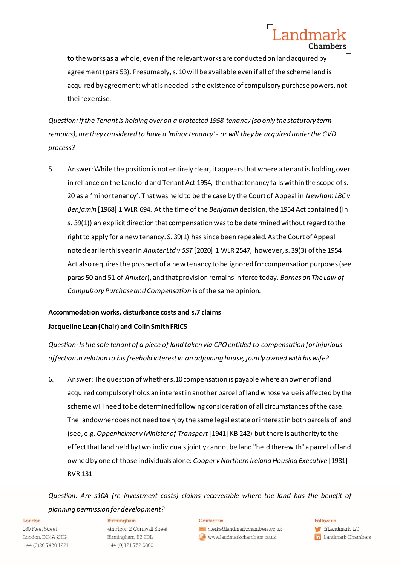to the works as a whole, even if the relevant works are conducted on land acquired by agreement (para 53). Presumably, s. 10 will be available even if all of the scheme land is acquired by agreement: what is needed is the existence of compulsory purchase powers, not their exercise.

Landmar

Chambers

*Question: If the Tenant is holding over on a protected 1958 tenancy (so only the statutory term remains), are they considered to have a 'minor tenancy' - or will they be acquired under the GVD process?*

5. Answer: While the position is not entirely clear, it appears that where a tenant is holding over in reliance on the Landlord and Tenant Act 1954, then that tenancy falls within the scope of s. 20 as a 'minor tenancy'. That was held to be the case by the Court of Appeal in *Newham LBC v Benjamin* [1968] 1 WLR 694. At the time of the *Benjamin* decision, the 1954 Act contained (in s. 39(1)) an explicit direction that compensation was to be determined without regard to the right to apply for a new tenancy. S. 39(1) has since been repealed. As the Court of Appeal noted earlier this year in *Anixter Ltd v SST* [2020] 1 WLR 2547, however, s. 39(3) of the 1954 Act also requires the prospect of a new tenancy to be ignored for compensation purposes (see paras 50 and 51 of *Anixter*), and that provision remains in force today. *Barnes on The Law of Compulsory Purchase and Compensation* is of the same opinion.

## **Accommodation works, disturbance costs and s.7 claims Jacqueline Lean (Chair) and Colin Smith FRICS**

*Question: Is the sole tenant of a piece of land taken via CPO entitled to compensation for injurious affection in relation to his freehold interest in an adjoining house, jointly owned with his wife?*

6. Answer: The question of whether s.10 compensation is payable where an owner of land acquired compulsory holds an interest in another parcel of land whose value is affected by the scheme will need to be determined following consideration of all circumstances of the case. The landowner does not need to enjoy the same legal estate or interest in both parcels of land (see, e.g. *Oppenheimer v Minister of Transport*[1941] KB 242) but there is authority to the effect that land held by two individuals jointly cannot be land "held therewith" a parcel of land owned by one of those individuals alone: *Cooper v Northern Ireland Housing Executive* [1981] RVR 131.

*Question: Are s10A (re investment costs) claims recoverable where the land has the benefit of planning permission for development?*

#### London

180 Fleet Street London, EC4A 2HG +44 (0)20 7430 1221

#### Birmingham

4th Floor, 2 Cornwall Street Birmingham, B3 2DL +44 (0)121 752 0800

#### Contact us

clerks@landmarkchambers.co.uk www.landmarkchambers.co.uk

#### Follow us

**C**Landmark\_LC **in** Landmark Chambers